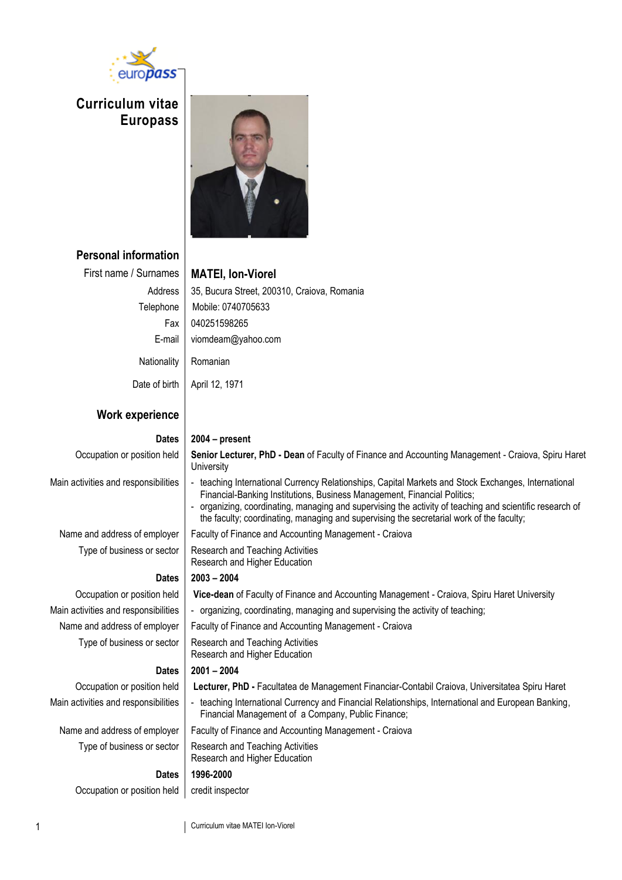

**Curriculum vitae Europass** 



### **Personal information**

First name / Surnames **MATEI, Ion-Viorel**

Address | 35, Bucura Street, 200310, Craiova, Romania Telephone | Mobile: 0740705633 Fax 040251598265 E-mail viomdeam@yahoo.com Nationality Romanian

Date of birth | April 12, 1971

### **Work experience**

### **Dates 2004 – present** Occupation or position held **Senior Lecturer, PhD - Dean** of Faculty of Finance and Accounting Management - Craiova, Spiru Haret **University** Main activities and responsibilities | - teaching International Currency Relationships, Capital Markets and Stock Exchanges, International Financial-Banking Institutions, Business Management, Financial Politics; organizing, coordinating, managing and supervising the activity of teaching and scientific research of the faculty; coordinating, managing and supervising the secretarial work of the faculty; Name and address of employer  $\parallel$  Faculty of Finance and Accounting Management - Craiova Type of business or sector  $\vert$  Research and Teaching Activities Research and Higher Education **Dates 2003 – 2004** Occupation or position held **Vice-dean** of Faculty of Finance and Accounting Management - Craiova, Spiru Haret University Main activities and responsibilities | - organizing, coordinating, managing and supervising the activity of teaching; Name and address of employer  $\parallel$  Faculty of Finance and Accounting Management - Craiova Type of business or sector | Research and Teaching Activities Research and Higher Education **Dates 2001 – 2004** Occupation or position held **Lecturer, PhD -** Facultatea de Management Financiar-Contabil Craiova, Universitatea Spiru Haret Main activities and responsibilities | - teaching International Currency and Financial Relationships, International and European Banking, Financial Management of a Company, Public Finance; Name and address of employer | Faculty of Finance and Accounting Management - Craiova Type of business or sector  $\vert$  Research and Teaching Activities Research and Higher Education **Dates 1996-2000** Occupation or position held credit inspector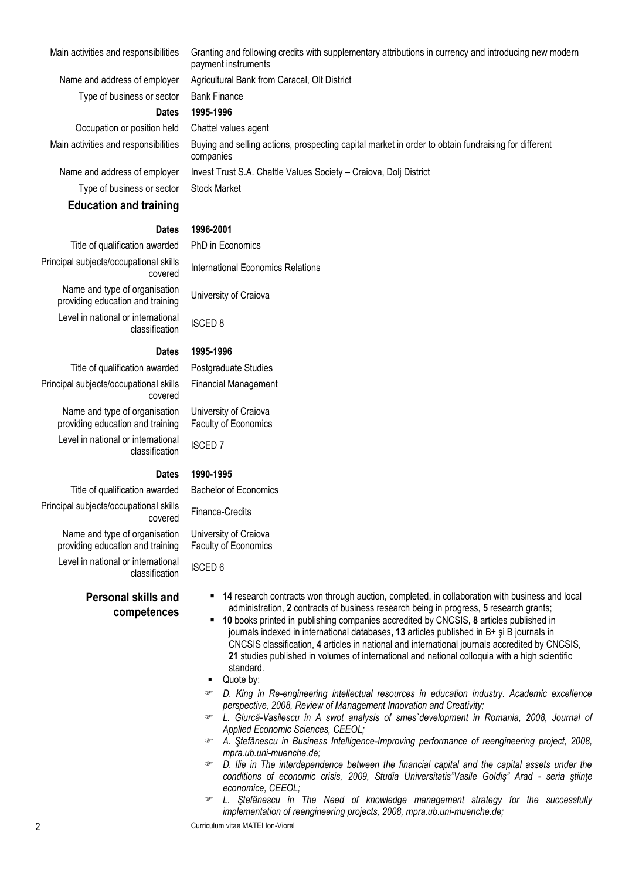Name and address of employer  $\parallel$  Agricultural Bank from Caracal, Olt District

Type of business or sector  $\parallel$  Bank Finance **Dates 1995-1996**

Occupation or position held | Chattel values agent Main activities and responsibilities | Buying and selling actions, prospecting capital market in order to obtain fundraising for different

Name and address of employer | Invest Trust S.A. Chattle Values Society – Craiova, Dolj District Type of business or sector  $\vert$  Stock Market

### **Education and training**

### **Dates 1996-2001**

companies

payment instruments

Title of qualification awarded  $\parallel$  PhD in Economics Principal subjects/occupational skills Tidi SKIIIS | International Economics Relations Name and type of organisation providing education and training University of Craiova

Level in national or international classification | ISCED 8

#### **Dates 1995-1996**

Title of qualification awarded | Postgraduate Studies Principal subjects/occupational skills covered Name and type of organisation providing education and training Level in national or international differentiation | ISCED 7

Principal subjects/occupational skills

Name and type of organisation providing education and training

Level in national or international

### **Dates 1990-1995**

Title of qualification awarded  $\parallel$  Bachelor of Economics

covered Finance-Credits

University of Craiova Faculty of Economics

Financial Management

University of Craiova Faculty of Economics

classification | ISCED 6

**Personal skills and competences**

- **14** research contracts won through auction, completed, in collaboration with business and local administration, **2** contracts of business research being in progress, **5** research grants;
- **10** books printed in publishing companies accredited by CNCSIS**, 8** articles published in journals indexed in international databases**, 13** articles published in B+ şi B journals in CNCSIS classification, **4** articles in national and international journals accredited by CNCSIS, **21** studies published in volumes of international and national colloquia with a high scientific standard.
- Quote by:
- *D. King in Re-engineering intellectual resources in education industry. Academic excellence perspective, 2008, Review of Management Innovation and Creativity;*
- *L. Giurcă-Vasilescu in A swot analysis of smes`development in Romania, 2008, Journal of Applied Economic Sciences, CEEOL;*
- *A. Ştefănescu in Business Intelligence-Improving performance of reengineering project, 2008, mpra.ub.uni-muenche.de;*
- *D. Ilie in The interdependence between the financial capital and the capital assets under the conditions of economic crisis, 2009, Studia Universitatis"Vasile Goldiş" Arad - seria ştiinţe economice, CEEOL;*
- *L. Ştefănescu in The Need of knowledge management strategy for the successfully implementation of reengineering projects, 2008, mpra.ub.uni-muenche.de;*

2 Curriculum vitae MATEI Ion-Viorel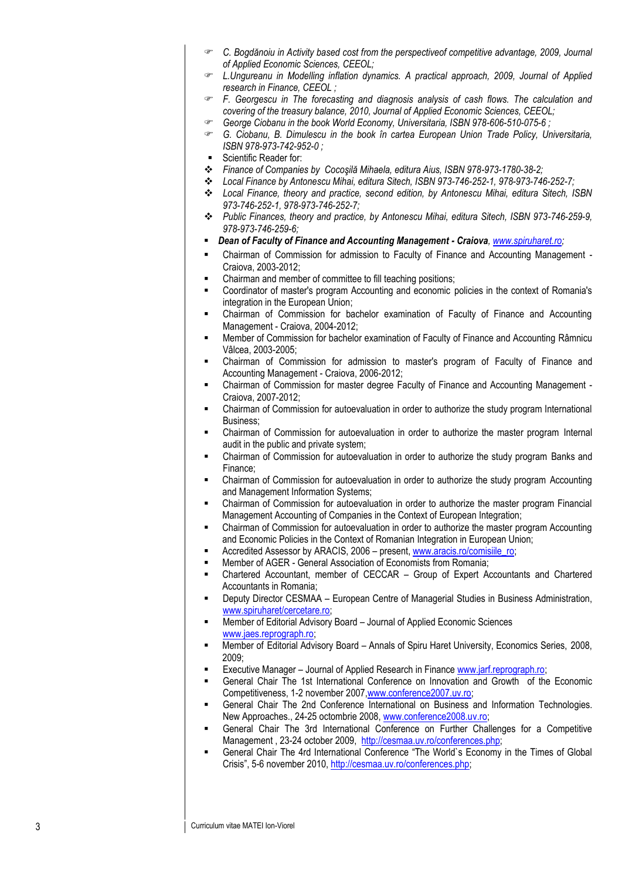- *C. Bogdănoiu in Activity based cost from the perspectiveof competitive advantage, 2009, Journal of Applied Economic Sciences, CEEOL;*
- *L.Ungureanu in Modelling inflation dynamics. A practical approach, 2009, Journal of Applied research in Finance, CEEOL ;*
- *F. Georgescu in The forecasting and diagnosis analysis of cash flows. The calculation and covering of the treasury balance, 2010, Journal of Applied Economic Sciences, CEEOL;*
- <sup> $\bullet$ </sup> George Ciobanu in the book World Economy, Universitaria, ISBN 978-606-510-075-6;
- *G. Ciobanu, B. Dimulescu in the book în cartea European Union Trade Policy, Universitaria, ISBN 978 -973 -742 -952 - 0 ;*
- Scientific Reader for:
- *Finance of Companies by Cocoşilă Mihaela, editura Aius, ISBN 978 -973 -1780 -38 -2;*
- *Local Finance by Antonescu Mihai, editura Sitech, ISBN 973 -746 -252 -1, 978 -973 -746 -252 -7;*
- *Local Finance, theory and practice, second edition, by Antonescu Mihai, editura Sitech, ISBN 973 -746 -252 -1, 978 -973 -746 -252 -7;*
- *Public Finances, theory and practice, by Antonescu Mihai, editura Sitech, ISBN 973 -746 -259 -9, 978 -973 -746 -259 -6;*
- . Dean of Faculty of Finance and Accounting Management - Craiova[, www.spiruharet.ro](http://www.spiruharet.ro/);
- **EXECO FIGO THE INTE IS COMMISS AND FINAL ADMOGRATE CONTACT CONTACT FINAL S** Chairman of Commission for admission to Faculty of Finance and Accounting Management -Craiova, 2003 -2012;
- Chairman and member of committee to fill teaching positions;
- Coordinator of master's program Accounting and economic policies in the context of Romania's integration in the European Union;
- Chairman of Commission for bachelor examination of Faculty of Finance and Accounting Management - Craiova, 2004 -2012;
- Member of Commission for bachelor examination of Faculty of Finance and Accounting Râmnicu Vâlcea, 2003 -2005;
- Chairman of Commission for admission to master's program of Faculty of Finance and Accounting Management - Craiova, 2006 -2012;
- **EXECO FIGUREY COMMISS** FOR MASTER EXTIGNALLY OF FINANCE and Accounting Management -Craiova, 2007 -2012;
- Chairman of Commission for autoevaluation in order to authorize the study program International Business;
- Chairman of Commission for autoevaluation in order to authorize the master program Internal audit in the public and private system;
- Chairman of Commission for autoevaluation in order to authorize the study program Banks and Finance;
- Chairman of Commission for autoevaluation in order to authorize the study program Accounting and Management Information Systems;
- Chairman of Commission for autoevaluation in order to authorize the master program Financial Management Accounting of Companies in the Context of European Integration;
- Chairman of Commission for autoevaluation in order to authorize the master program Accounting and Economic Policies in the Context of Romanian Integration in European Union;
- **EXECT** Accredited Assessor by ARACIS, 2006 present[, www.aracis.ro/comisiile\\_ro;](http://www.aracis.ro/comisiile_ro)
	- Member of AGER General Association of Economists from Romania;
- Chartered Accountant, member of CECCAR Group of Expert Accountants and Chartered Accountants in Romania;
- **-** Deputy Director CESMAA European Centre of Managerial Studies in Business Administration, [www.spiruharet/cercetare.ro;](http://www.spiruharet/cercetare.ro)
- Member of Editorial Advisory Board Journal of Applied Economic Sciences [www.jaes.reprograph.ro;](http://jaes.reprograph.ro/)
- **EXECT Member of Editorial Advisory Board Annals of Spiru Haret University, Economics Series, 2008,** 2009;
- **Executive Manager Journal of Applied Research in Finance [www.jarf.reprograph.ro;](http://www.jarf.reprograph.ro/)**
- General Chair The 1st International Conference on Innovation and Growth of the Economic Competitiveness, 1-2 november 2007, www.conference 2007.uv.ro;
- General Chair The 2nd Conference International on Business and Information Technologies. New Approaches., 24-25 octombrie 2008, [www.conference2008.uv.ro;](http://www.conference2008.uv.ro/)
- General Chair The 3rd International Conference on Further Challenges for a Competitive Management, 23-24 october 2009, [http://cesmaa.uv.ro/conferences.php;](http://cesmaa.uv.ro/conferences.php)
- General Chair The 4rd International Conference "The World`s Economy in the Times of Global Crisis", 5-6 november 2010[, http://cesmaa.uv.ro/conferences.php;](http://cesmaa.uv.ro/conferences.php)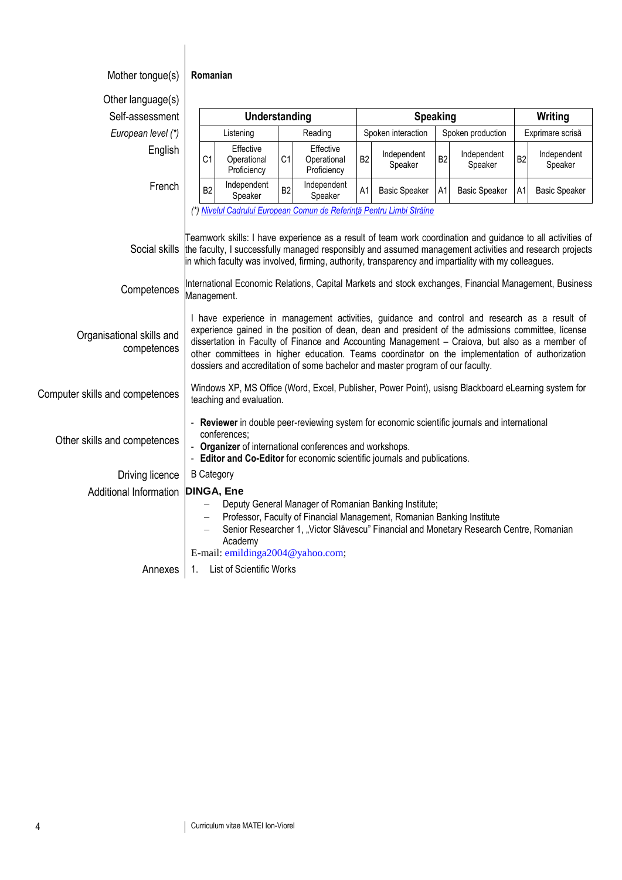| Mother tongue(s)                         | Romanian                                                                                                                                                                                                                                                                                                                                                                                                                                                                                  |                                         |                |                                         |                |                                                                                                                                 |                |                                                                                                     |                  |                        |
|------------------------------------------|-------------------------------------------------------------------------------------------------------------------------------------------------------------------------------------------------------------------------------------------------------------------------------------------------------------------------------------------------------------------------------------------------------------------------------------------------------------------------------------------|-----------------------------------------|----------------|-----------------------------------------|----------------|---------------------------------------------------------------------------------------------------------------------------------|----------------|-----------------------------------------------------------------------------------------------------|------------------|------------------------|
| Other language(s)                        |                                                                                                                                                                                                                                                                                                                                                                                                                                                                                           |                                         |                |                                         |                |                                                                                                                                 |                |                                                                                                     |                  |                        |
| Self-assessment                          | <b>Speaking</b><br>Understanding                                                                                                                                                                                                                                                                                                                                                                                                                                                          |                                         | Writing        |                                         |                |                                                                                                                                 |                |                                                                                                     |                  |                        |
| European level (*)                       |                                                                                                                                                                                                                                                                                                                                                                                                                                                                                           | Listening                               |                | Reading                                 |                | Spoken interaction                                                                                                              |                | Spoken production                                                                                   | Exprimare scrisă |                        |
| English                                  | C <sub>1</sub>                                                                                                                                                                                                                                                                                                                                                                                                                                                                            | Effective<br>Operational<br>Proficiency | C <sub>1</sub> | Effective<br>Operational<br>Proficiency | B <sub>2</sub> | Independent<br>Speaker                                                                                                          | B <sub>2</sub> | Independent<br>Speaker                                                                              | B <sub>2</sub>   | Independent<br>Speaker |
| French                                   | B <sub>2</sub>                                                                                                                                                                                                                                                                                                                                                                                                                                                                            | Independent<br>Speaker                  | B <sub>2</sub> | Independent<br>Speaker                  | A1             | <b>Basic Speaker</b>                                                                                                            | A1             | <b>Basic Speaker</b>                                                                                | A1               | <b>Basic Speaker</b>   |
|                                          |                                                                                                                                                                                                                                                                                                                                                                                                                                                                                           |                                         |                |                                         |                | (*) Nivelul Cadrului European Comun de Referință Pentru Limbi Străine                                                           |                |                                                                                                     |                  |                        |
|                                          | Teamwork skills: I have experience as a result of team work coordination and guidance to all activities of<br>the faculty, I successfully managed responsibly and assumed management activities and research projects<br>Social skills<br>in which faculty was involved, firming, authority, transparency and impartiality with my colleagues.                                                                                                                                            |                                         |                |                                         |                |                                                                                                                                 |                |                                                                                                     |                  |                        |
| Competences                              | International Economic Relations, Capital Markets and stock exchanges, Financial Management, Business<br>Management.                                                                                                                                                                                                                                                                                                                                                                      |                                         |                |                                         |                |                                                                                                                                 |                |                                                                                                     |                  |                        |
| Organisational skills and<br>competences | I have experience in management activities, guidance and control and research as a result of<br>experience gained in the position of dean, dean and president of the admissions committee, license<br>dissertation in Faculty of Finance and Accounting Management - Craiova, but also as a member of<br>other committees in higher education. Teams coordinator on the implementation of authorization<br>dossiers and accreditation of some bachelor and master program of our faculty. |                                         |                |                                         |                |                                                                                                                                 |                |                                                                                                     |                  |                        |
| Computer skills and competences          |                                                                                                                                                                                                                                                                                                                                                                                                                                                                                           | teaching and evaluation.                |                |                                         |                |                                                                                                                                 |                | Windows XP, MS Office (Word, Excel, Publisher, Power Point), usisng Blackboard eLearning system for |                  |                        |
| Other skills and competences             | - Reviewer in double peer-reviewing system for economic scientific journals and international<br>conferences;<br>Organizer of international conferences and workshops.<br>- Editor and Co-Editor for economic scientific journals and publications.                                                                                                                                                                                                                                       |                                         |                |                                         |                |                                                                                                                                 |                |                                                                                                     |                  |                        |
| Driving licence                          | <b>B</b> Category                                                                                                                                                                                                                                                                                                                                                                                                                                                                         |                                         |                |                                         |                |                                                                                                                                 |                |                                                                                                     |                  |                        |
| Additional Information                   | <b>DINGA, Ene</b>                                                                                                                                                                                                                                                                                                                                                                                                                                                                         |                                         |                |                                         |                |                                                                                                                                 |                |                                                                                                     |                  |                        |
|                                          |                                                                                                                                                                                                                                                                                                                                                                                                                                                                                           | Academy                                 |                |                                         |                | Deputy General Manager of Romanian Banking Institute;<br>Professor, Faculty of Financial Management, Romanian Banking Institute |                | Senior Researcher 1, "Victor Slăvescu" Financial and Monetary Research Centre, Romanian             |                  |                        |
|                                          |                                                                                                                                                                                                                                                                                                                                                                                                                                                                                           | E-mail: emildinga2004@yahoo.com;        |                |                                         |                |                                                                                                                                 |                |                                                                                                     |                  |                        |
| Annexes                                  | 1.                                                                                                                                                                                                                                                                                                                                                                                                                                                                                        | List of Scientific Works                |                |                                         |                |                                                                                                                                 |                |                                                                                                     |                  |                        |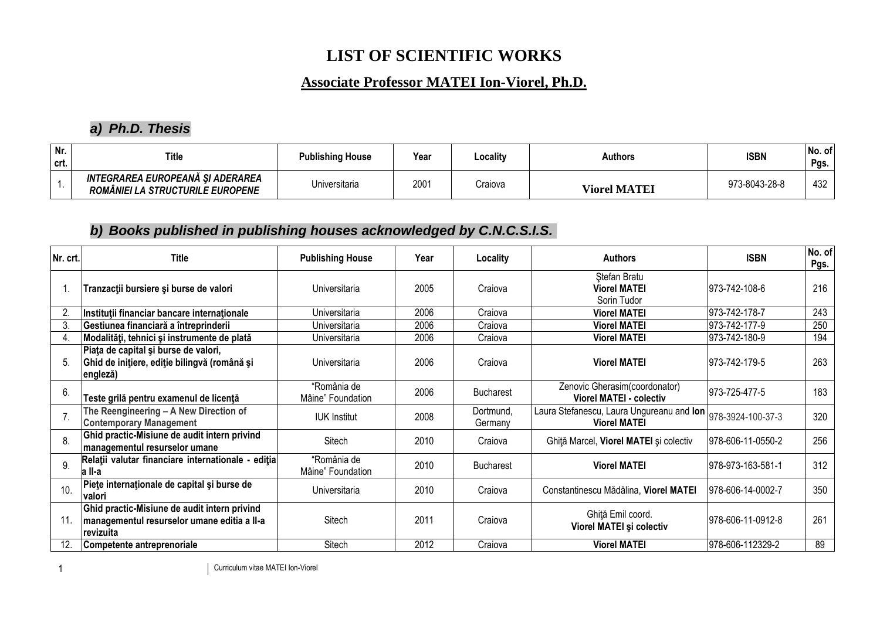## **LIST OF SCIENTIFIC WORKS**

## **Associate Professor MATEI Ion-Viorel, Ph.D.**

## *a) Ph.D. Thesis*

| Nr.<br>crt. | <b>Title</b>                                                         | <b>Publishing House</b> | Year | Locality | <b>Authors</b>      | <b>ISBN</b>   | No. of<br>Pgs. |
|-------------|----------------------------------------------------------------------|-------------------------|------|----------|---------------------|---------------|----------------|
|             | INTEGRAREA EUROPEANA SI ADERAREA<br>ROMÂNIEI LA STRUCTURILE EUROPENE | Universitaria           | 2001 | Craiova  | <b>Viorel MATEI</b> | 973-8043-28-8 | 432            |

## *b) Books published in publishing houses acknowledged by C.N.C.S.I.S.*

| Nr. crt. | <b>Title</b>                                                                                             | <b>Publishing House</b>          | Year | Locality             | <b>Authors</b>                                                                     | <b>ISBN</b>        | No. of<br>Pgs. |
|----------|----------------------------------------------------------------------------------------------------------|----------------------------------|------|----------------------|------------------------------------------------------------------------------------|--------------------|----------------|
|          | Tranzacții bursiere și burse de valori                                                                   | Universitaria                    | 2005 | Craiova              | Stefan Bratu<br><b>Viorel MATEI</b><br>Sorin Tudor                                 | 973-742-108-6      | 216            |
| 2.       | Instituții financiar bancare internaționale                                                              | Universitaria                    | 2006 | Craiova              | <b>Viorel MATEI</b>                                                                | 973-742-178-7      | 243            |
| 3.       | Gestiunea financiară a întreprinderii                                                                    | Universitaria                    | 2006 | Craiova              | <b>Viorel MATEI</b>                                                                | 973-742-177-9      | 250            |
| 4.       | Modalități, tehnici și instrumente de plată                                                              | Universitaria                    | 2006 | Craiova              | <b>Viorel MATEI</b>                                                                | 973-742-180-9      | 194            |
| 5.       | Piața de capital și burse de valori,<br>Ghid de inițiere, ediție bilingvă (română și<br> engleză)        | Universitaria                    | 2006 | Craiova              | <b>Viorel MATEI</b>                                                                | 1973-742-179-5     | 263            |
| 6.       | Teste grilă pentru examenul de licență                                                                   | "România de<br>Mâine" Foundation | 2006 | <b>Bucharest</b>     | Zenovic Gherasim(coordonator)<br><b>Viorel MATEI - colectiv</b>                    | 973-725-477-5      | 183            |
|          | The Reengineering - A New Direction of<br><b>Contemporary Management</b>                                 | <b>IUK Institut</b>              | 2008 | Dortmund,<br>Germany | Laura Stefanescu, Laura Ungureanu and Ion 978-3924-100-37-3<br><b>Viorel MATEI</b> |                    | 320            |
| 8.       | Ghid practic-Misiune de audit intern privind<br>managementul resurselor umane                            | Sitech                           | 2010 | Craiova              | Ghiță Marcel, Viorel MATEI și colectiv                                             | 978-606-11-0550-2  | 256            |
| 9.       | Relații valutar financiare internationale - ediția<br>a II-a                                             | "România de<br>Mâine" Foundation | 2010 | <b>Bucharest</b>     | <b>Viorel MATEI</b>                                                                | 1978-973-163-581-1 | 312            |
| 10.      | Piete internaționale de capital și burse de<br>Ivalori                                                   | Universitaria                    | 2010 | Craiova              | Constantinescu Mădălina, Viorel MATEI                                              | 978-606-14-0002-7  | 350            |
| 11.      | Ghid practic-Misiune de audit intern privind<br>managementul resurselor umane editia a II-a<br>revizuita | Sitech                           | 2011 | Craiova              | Ghiță Emil coord.<br>Viorel MATEI și colectiv                                      | 978-606-11-0912-8  | 261            |
|          | Competente antreprenoriale                                                                               | Sitech                           | 2012 | Craiova              | <b>Viorel MATEI</b>                                                                | 978-606-112329-2   | 89             |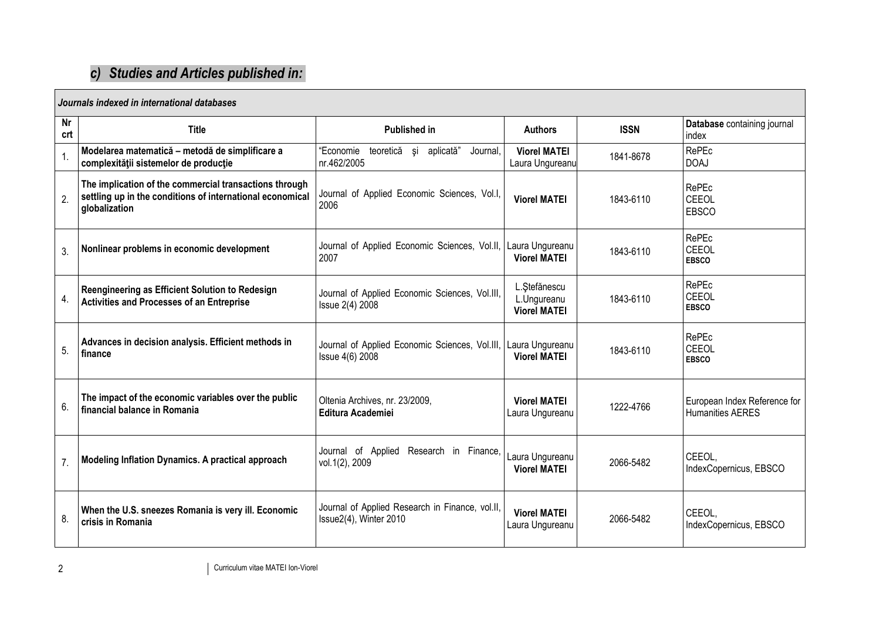# *c) Studies and Articles published in:*

| Journals indexed in international databases |                                                                                                                                      |                                                                           |                                                     |             |                                                         |  |  |
|---------------------------------------------|--------------------------------------------------------------------------------------------------------------------------------------|---------------------------------------------------------------------------|-----------------------------------------------------|-------------|---------------------------------------------------------|--|--|
| <b>Nr</b><br>crt                            | <b>Title</b>                                                                                                                         | <b>Published in</b>                                                       | <b>Authors</b>                                      | <b>ISSN</b> | Database containing journal<br>index                    |  |  |
|                                             | Modelarea matematică - metodă de simplificare a<br>complexității sistemelor de producție                                             | "Economie<br>teoretică și<br>aplicată"<br>Journal,<br>nr.462/2005         | <b>Viorel MATEI</b><br>Laura Ungureanu              | 1841-8678   | RePEc<br><b>DOAJ</b>                                    |  |  |
| 2.                                          | The implication of the commercial transactions through<br>settling up in the conditions of international economical<br>globalization | Journal of Applied Economic Sciences, Vol.I,<br>2006                      | <b>Viorel MATEI</b>                                 | 1843-6110   | RePEc<br>CEEOL<br><b>EBSCO</b>                          |  |  |
| 3.                                          | Nonlinear problems in economic development                                                                                           | Journal of Applied Economic Sciences, Vol.II,<br>2007                     | Laura Ungureanu<br><b>Viorel MATEI</b>              | 1843-6110   | RePEc<br>CEEOL<br><b>EBSCO</b>                          |  |  |
| 4.                                          | Reengineering as Efficient Solution to Redesign<br><b>Activities and Processes of an Entreprise</b>                                  | Journal of Applied Economic Sciences, Vol.III,<br>Issue 2(4) 2008         | L. Ștefănescu<br>L.Ungureanu<br><b>Viorel MATEI</b> | 1843-6110   | RePEc<br>CEEOL<br><b>EBSCO</b>                          |  |  |
| 5.                                          | Advances in decision analysis. Efficient methods in<br>finance                                                                       | Journal of Applied Economic Sciences, Vol.III,<br>Issue 4(6) 2008         | Laura Ungureanu<br><b>Viorel MATEI</b>              | 1843-6110   | RePEc<br>CEEOL<br><b>EBSCO</b>                          |  |  |
| 6.                                          | The impact of the economic variables over the public<br>financial balance in Romania                                                 | Oltenia Archives, nr. 23/2009,<br><b>Editura Academiei</b>                | <b>Viorel MATEI</b><br>Laura Ungureanu              | 1222-4766   | European Index Reference for<br><b>Humanities AERES</b> |  |  |
| 7 <sub>1</sub>                              | Modeling Inflation Dynamics. A practical approach                                                                                    | Journal of Applied Research in Finance,<br>vol.1(2), 2009                 | Laura Ungureanu<br><b>Viorel MATEI</b>              | 2066-5482   | CEEOL,<br>IndexCopernicus, EBSCO                        |  |  |
| 8.                                          | When the U.S. sneezes Romania is very ill. Economic<br>crisis in Romania                                                             | Journal of Applied Research in Finance, vol.II,<br>Issue2(4), Winter 2010 | <b>Viorel MATEI</b><br>Laura Ungureanu              | 2066-5482   | CEEOL.<br>IndexCopernicus, EBSCO                        |  |  |

 $\mathsf{r}$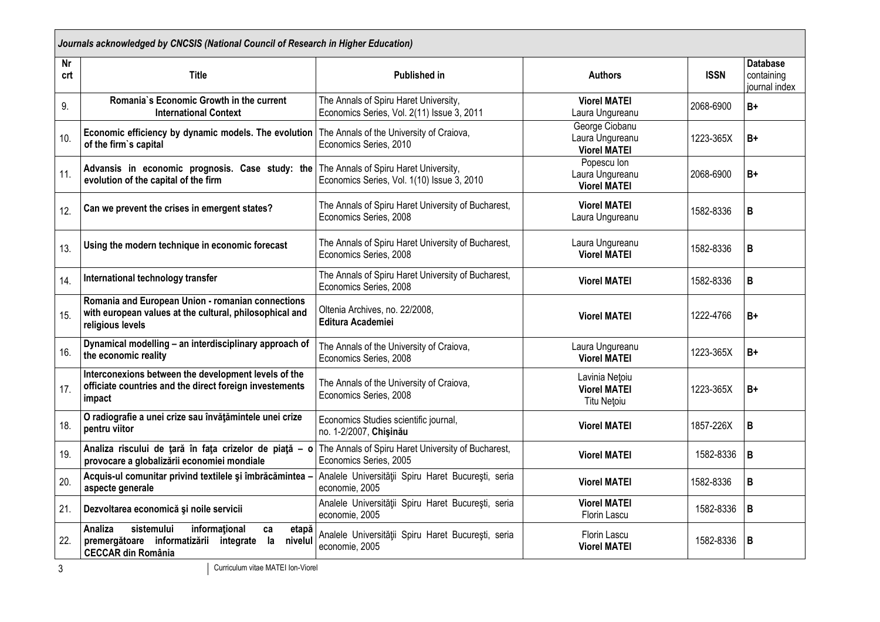| Journals acknowledged by CNCSIS (National Council of Research in Higher Education) |                                                                                                                                               |                                                                                     |                                                             |             |                                                |  |  |  |
|------------------------------------------------------------------------------------|-----------------------------------------------------------------------------------------------------------------------------------------------|-------------------------------------------------------------------------------------|-------------------------------------------------------------|-------------|------------------------------------------------|--|--|--|
| <b>Nr</b><br>crt                                                                   | <b>Title</b>                                                                                                                                  | <b>Published in</b>                                                                 | <b>Authors</b>                                              | <b>ISSN</b> | <b>Database</b><br>containing<br>iournal index |  |  |  |
| 9.                                                                                 | Romania's Economic Growth in the current<br><b>International Context</b>                                                                      | The Annals of Spiru Haret University,<br>Economics Series, Vol. 2(11) Issue 3, 2011 | <b>Viorel MATEI</b><br>Laura Ungureanu                      | 2068-6900   | $B+$                                           |  |  |  |
| 10.                                                                                | Economic efficiency by dynamic models. The evolution<br>of the firm's capital                                                                 | The Annals of the University of Craiova,<br>Economics Series, 2010                  | George Ciobanu<br>Laura Ungureanu<br><b>Viorel MATEI</b>    | 1223-365X   | $B+$                                           |  |  |  |
| 11.                                                                                | Advansis in economic prognosis. Case study: the<br>evolution of the capital of the firm                                                       | The Annals of Spiru Haret University,<br>Economics Series, Vol. 1(10) Issue 3, 2010 | Popescu Ion<br>Laura Ungureanu<br><b>Viorel MATEI</b>       | 2068-6900   | $B+$                                           |  |  |  |
| 12.                                                                                | Can we prevent the crises in emergent states?                                                                                                 | The Annals of Spiru Haret University of Bucharest,<br>Economics Series, 2008        | <b>Viorel MATEI</b><br>Laura Ungureanu                      | 1582-8336   | B                                              |  |  |  |
| 13.                                                                                | Using the modern technique in economic forecast                                                                                               | The Annals of Spiru Haret University of Bucharest,<br>Economics Series, 2008        | Laura Ungureanu<br><b>Viorel MATEI</b>                      | 1582-8336   | B                                              |  |  |  |
| 14.                                                                                | International technology transfer                                                                                                             | The Annals of Spiru Haret University of Bucharest,<br>Economics Series, 2008        | <b>Viorel MATEI</b>                                         | 1582-8336   | B                                              |  |  |  |
| 15.                                                                                | Romania and European Union - romanian connections<br>with european values at the cultural, philosophical and<br>religious levels              | Oltenia Archives, no. 22/2008,<br><b>Editura Academiei</b>                          | <b>Viorel MATEI</b>                                         | 1222-4766   | B+                                             |  |  |  |
| 16.                                                                                | Dynamical modelling - an interdisciplinary approach of<br>the economic reality                                                                | The Annals of the University of Craiova,<br>Economics Series, 2008                  | Laura Ungureanu<br><b>Viorel MATEI</b>                      | 1223-365X   | B+                                             |  |  |  |
| 17.                                                                                | Interconexions between the development levels of the<br>officiate countries and the direct foreign investements<br>impact                     | The Annals of the University of Craiova,<br>Economics Series, 2008                  | Lavinia Netoiu<br><b>Viorel MATEI</b><br><b>Titu Netoiu</b> | 1223-365X   | $B+$                                           |  |  |  |
| 18.                                                                                | O radiografie a unei crize sau învățămintele unei crize<br>pentru viitor                                                                      | Economics Studies scientific journal,<br>no. 1-2/2007, Chisinău                     | <b>Viorel MATEI</b>                                         | 1857-226X   | B                                              |  |  |  |
| 19.                                                                                | Analiza riscului de țară în fața crizelor de piață - o<br>provocare a globalizării economiei mondiale                                         | The Annals of Spiru Haret University of Bucharest,<br>Economics Series, 2005        | <b>Viorel MATEI</b>                                         | 1582-8336   | $\mathsf B$                                    |  |  |  |
| 20.                                                                                | Acquis-ul comunitar privind textilele și îmbrăcămintea<br>aspecte generale                                                                    | Analele Universității Spiru Haret București, seria<br>economie, 2005                | <b>Viorel MATEI</b>                                         | 1582-8336   | B                                              |  |  |  |
| 21.                                                                                | Dezvoltarea economică și noile servicii                                                                                                       | Analele Universității Spiru Haret București, seria<br>economie, 2005                | <b>Viorel MATEI</b><br>Florin Lascu                         | 1582-8336   | $\mathsf B$                                    |  |  |  |
| 22.                                                                                | Analiza<br>sistemului<br>informational<br>etapă<br>ca<br>premergătoare informatizării<br>integrate la<br>nivelul<br><b>CECCAR din România</b> | Analele Universității Spiru Haret București, seria<br>economie, 2005                | Florin Lascu<br><b>Viorel MATEI</b>                         | 1582-8336   | B                                              |  |  |  |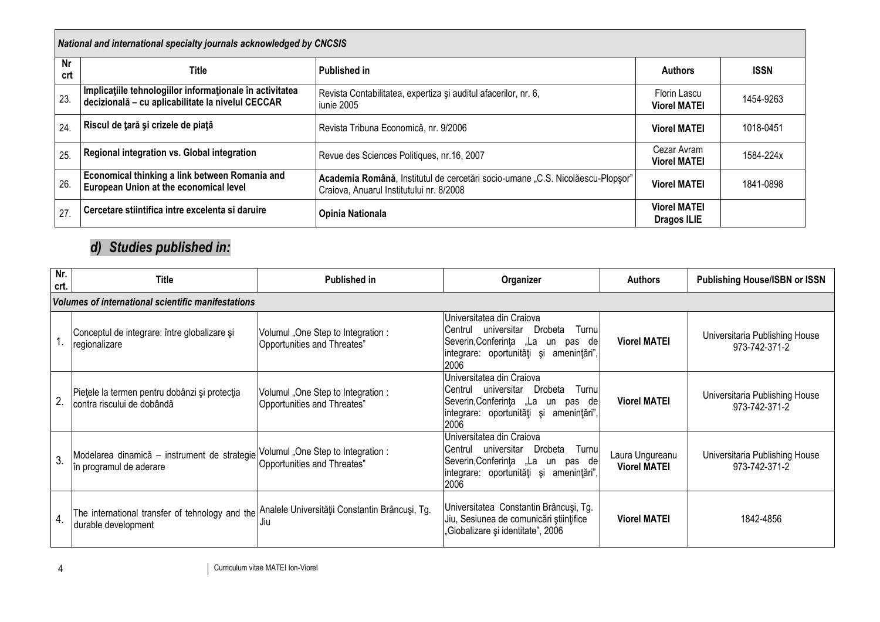| National and international specialty journals acknowledged by CNCSIS |                                                                                                               |                                                                                                                            |                                     |             |  |  |  |  |
|----------------------------------------------------------------------|---------------------------------------------------------------------------------------------------------------|----------------------------------------------------------------------------------------------------------------------------|-------------------------------------|-------------|--|--|--|--|
| Nr<br>crt                                                            | Title                                                                                                         | <b>Published in</b>                                                                                                        | <b>Authors</b>                      | <b>ISSN</b> |  |  |  |  |
| 23.                                                                  | Implicațiile tehnologiilor informaționale în activitatea<br>decizională - cu aplicabilitate la nivelul CECCAR | Revista Contabilitatea, expertiza și auditul afacerilor, nr. 6,<br>iunie 2005                                              | Florin Lascu<br><b>Viorel MATEI</b> | 1454-9263   |  |  |  |  |
| 24                                                                   | Riscul de tară și crizele de piață                                                                            | Revista Tribuna Economică, nr. 9/2006                                                                                      | <b>Viorel MATEI</b>                 | 1018-0451   |  |  |  |  |
| 25                                                                   | Regional integration vs. Global integration                                                                   | Revue des Sciences Politiques, nr.16, 2007                                                                                 | Cezar Avram<br><b>Viorel MATEI</b>  | 1584-224x   |  |  |  |  |
| 26                                                                   | Economical thinking a link between Romania and<br>European Union at the economical level                      | Academia Română, Institutul de cercetări socio-umane "C.S. Nicolăescu-Plopsor"<br>Craiova, Anuarul Institutului nr. 8/2008 | <b>Viorel MATEI</b>                 | 1841-0898   |  |  |  |  |
| 27.                                                                  | Cercetare stiintifica intre excelenta si daruire                                                              | Opinia Nationala                                                                                                           | <b>Viorel MATEI</b><br>Dragos ILIE  |             |  |  |  |  |

# *d) Studies published in:*

| Nr.<br>crt.    | <b>Title</b>                                                                                                          | <b>Published in</b>                                              | Organizer                                                                                                                                                                    | <b>Authors</b>                         | <b>Publishing House/ISBN or ISSN</b>            |  |  |  |  |
|----------------|-----------------------------------------------------------------------------------------------------------------------|------------------------------------------------------------------|------------------------------------------------------------------------------------------------------------------------------------------------------------------------------|----------------------------------------|-------------------------------------------------|--|--|--|--|
|                | Volumes of international scientific manifestations                                                                    |                                                                  |                                                                                                                                                                              |                                        |                                                 |  |  |  |  |
|                | Conceptul de integrare: între globalizare și<br>regionalizare                                                         | Volumul "One Step to Integration:<br>Opportunities and Threates" | Universitatea din Craiova<br>Drobeta<br>Turnul<br>Centrul<br>universitar<br>Severin, Conferinta "La<br>de<br>pas<br>un<br>integrare: oportunități și<br>amenințări",<br>2006 | <b>Viorel MATEI</b>                    | Universitaria Publishing House<br>973-742-371-2 |  |  |  |  |
| $\overline{2}$ | Piețele la termen pentru dobânzi și protecția<br>contra riscului de dobândă                                           | Volumul "One Step to Integration:<br>Opportunities and Threates" | Universitatea din Craiova<br>Turnul<br>Drobeta<br>Centrul<br>universitar<br>Severin, Conferinta "La<br>de<br>pas<br>un<br>integrare: oportunități și<br>amenintări",<br>2006 | <b>Viorel MATEI</b>                    | Universitaria Publishing House<br>973-742-371-2 |  |  |  |  |
| 3 <sub>o</sub> | Modelarea dinamică - instrument de strategie Volumul "One Step to Integration :<br>in programul de aderare            | Opportunities and Threates"                                      | Universitatea din Craiova<br>Drobeta<br>Turnu<br>universitar<br>Centrul<br>Severin, Conferința "La<br>un pas del<br>lintegrare: oportunități și<br>amenintări",<br>2006      | Laura Ungureanu<br><b>Viorel MATEI</b> | Universitaria Publishing House<br>973-742-371-2 |  |  |  |  |
| $\overline{4}$ | The international transfer of tehnology and the Analele Universității Constantin Brâncuși, Tg.<br>durable development | l Jiu                                                            | Universitatea Constantin Brâncuși, Tg.<br>Jiu, Sesiunea de comunicări științifice<br>,Globalizare și identitate", 2006                                                       | <b>Viorel MATEI</b>                    | 1842-4856                                       |  |  |  |  |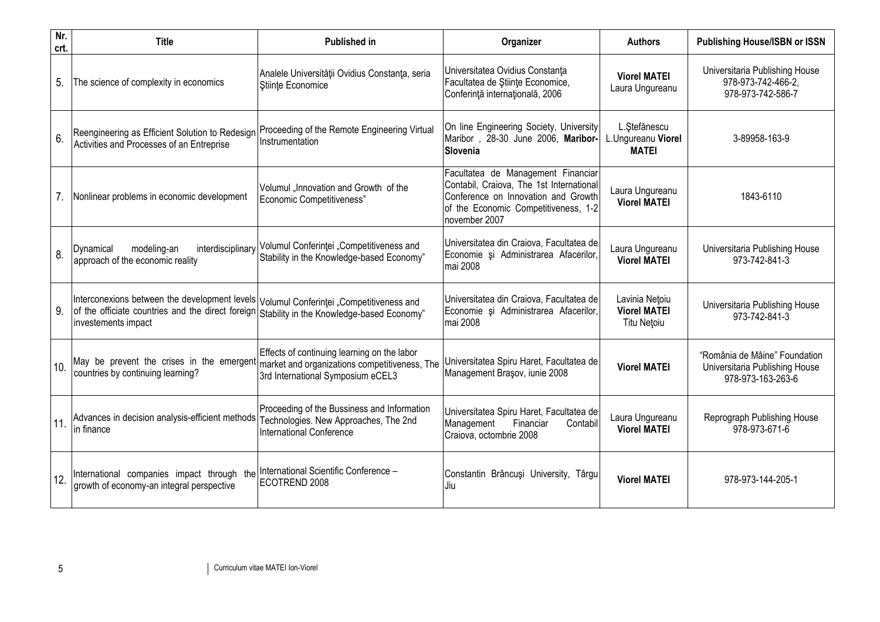| Nr.<br>crt. | <b>Title</b>                                                                                                                                                                                                 | <b>Published in</b>                                                                                                                                                         | Organizer                                                                                                                                                                      | <b>Authors</b>                                       | <b>Publishing House/ISBN or ISSN</b>                                                 |
|-------------|--------------------------------------------------------------------------------------------------------------------------------------------------------------------------------------------------------------|-----------------------------------------------------------------------------------------------------------------------------------------------------------------------------|--------------------------------------------------------------------------------------------------------------------------------------------------------------------------------|------------------------------------------------------|--------------------------------------------------------------------------------------|
| 5.          | The science of complexity in economics                                                                                                                                                                       | Analele Universității Ovidius Constanța, seria<br>Stiinte Economice                                                                                                         | Universitatea Ovidius Constanta<br>Facultatea de Stiințe Economice,<br>Conferință internațională, 2006                                                                         | <b>Viorel MATEI</b><br>Laura Ungureanu               | Universitaria Publishing House<br>978-973-742-466-2,<br>978-973-742-586-7            |
| 6.          | Reengineering as Efficient Solution to Redesign Proceeding of the Remote Engineering Virtual<br>Activities and Processes of an Entreprise                                                                    | Instrumentation                                                                                                                                                             | On line Engineering Society, University<br>Maribor, 28-30 June 2006, Maribor-<br>Slovenia                                                                                      | L.Stefănescu<br>L.Ungureanu Viorel<br><b>MATEI</b>   | 3-89958-163-9                                                                        |
|             | Nonlinear problems in economic development                                                                                                                                                                   | Volumul "Innovation and Growth of the<br>Economic Competitiveness"                                                                                                          | Facultatea de Management Financiar<br>Contabil, Craiova, The 1st International<br>Conference on Innovation and Growth<br>of the Economic Competitiveness, 1-2<br>november 2007 | Laura Ungureanu<br><b>Viorel MATEI</b>               | 1843-6110                                                                            |
| 8.          | modeling-an<br>Dynamical<br>approach of the economic reality                                                                                                                                                 | interdisciplinary Volumul Conferinței "Competitiveness and<br>Stability in the Knowledge-based Economy"                                                                     | Universitatea din Craiova, Facultatea de<br>Economie și Administrarea Afacerilor,<br>mai 2008                                                                                  | Laura Ungureanu<br><b>Viorel MATEI</b>               | Universitaria Publishing House<br>973-742-841-3                                      |
| 9.          | Interconexions between the development levels Volumul Conferintei "Competitiveness and<br>of the officiate countries and the direct foreign Stability in the Knowledge-based Economy"<br>investements impact |                                                                                                                                                                             | Universitatea din Craiova, Facultatea de<br>Economie și Administrarea Afacerilor,<br>mai 2008                                                                                  | Lavinia Netoiu<br><b>Viorel MATEI</b><br>Titu Netoiu | Universitaria Publishing House<br>973-742-841-3                                      |
| 10.         | countries by continuing learning?                                                                                                                                                                            | Effects of continuing learning on the labor<br>May be prevent the crises in the emergent market and organizations competitiveness, The<br>3rd International Symposium eCEL3 | Universitatea Spiru Haret, Facultatea de<br>Management Brasov, iunie 2008                                                                                                      | <b>Viorel MATEI</b>                                  | "România de Mâine" Foundation<br>Universitaria Publishing House<br>978-973-163-263-6 |
| 11.         | Advances in decision analysis-efficient methods Technologies. New Approaches, The 2nd<br>in finance                                                                                                          | Proceeding of the Bussiness and Information<br>International Conference                                                                                                     | Universitatea Spiru Haret, Facultatea de<br>Financiar<br>Management<br>Contabil<br>Craiova, octombrie 2008                                                                     | Laura Ungureanu<br><b>Viorel MATEI</b>               | Reprograph Publishing House<br>978-973-671-6                                         |
| 12.         | International companies impact through the International Scientific Conference -<br>growth of economy-an integral perspective                                                                                | ECOTREND 2008                                                                                                                                                               | Constantin Brâncuși University, Târgu<br>Jiu                                                                                                                                   | <b>Viorel MATEI</b>                                  | 978-973-144-205-1                                                                    |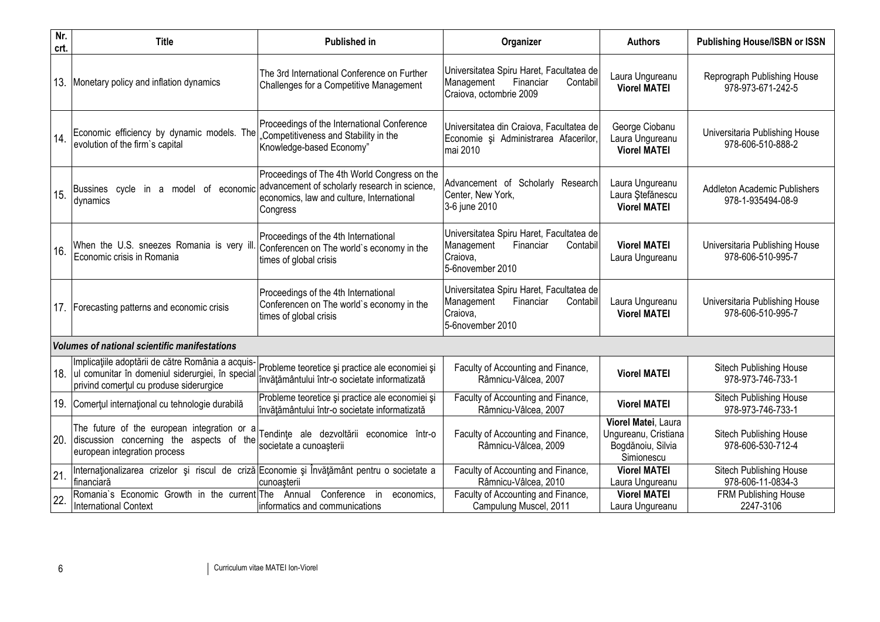| Nr.<br>crt. | <b>Title</b>                                                                                                                                          | <b>Published in</b>                                                                                                                                    | Organizer                                                                                                       | <b>Authors</b>                                                                 | <b>Publishing House/ISBN or ISSN</b>                     |
|-------------|-------------------------------------------------------------------------------------------------------------------------------------------------------|--------------------------------------------------------------------------------------------------------------------------------------------------------|-----------------------------------------------------------------------------------------------------------------|--------------------------------------------------------------------------------|----------------------------------------------------------|
| 13.         | Monetary policy and inflation dynamics                                                                                                                | The 3rd International Conference on Further<br>Challenges for a Competitive Management                                                                 | Universitatea Spiru Haret, Facultatea de<br>Management<br>Financiar<br>Contabil<br>Craiova, octombrie 2009      | Laura Ungureanu<br><b>Viorel MATEI</b>                                         | Reprograph Publishing House<br>978-973-671-242-5         |
| 14.         | Economic efficiency by dynamic models. The<br>evolution of the firm's capital                                                                         | Proceedings of the International Conference<br>"Competitiveness and Stability in the<br>Knowledge-based Economy"                                       | Universitatea din Craiova, Facultatea de<br>Economie și Administrarea Afacerilor,<br>mai 2010                   | George Ciobanu<br>Laura Ungureanu<br><b>Viorel MATEI</b>                       | Universitaria Publishing House<br>978-606-510-888-2      |
| 15.         | Bussines cycle in a model of economic<br>dynamics                                                                                                     | Proceedings of The 4th World Congress on the<br>advancement of scholarly research in science,<br>economics, law and culture, International<br>Congress | Advancement of Scholarly Research<br>Center, New York,<br>3-6 june 2010                                         | Laura Ungureanu<br>Laura Ștefănescu<br><b>Viorel MATEI</b>                     | <b>Addleton Academic Publishers</b><br>978-1-935494-08-9 |
| 16.         | When the U.S. sneezes Romania is very il<br>Economic crisis in Romania                                                                                | Proceedings of the 4th International<br>Conferencen on The world's economy in the<br>times of global crisis                                            | Universitatea Spiru Haret, Facultatea de<br>Management<br>Financiar<br>Contabil<br>Craiova,<br>5-6november 2010 | <b>Viorel MATEI</b><br>Laura Ungureanu                                         | Universitaria Publishing House<br>978-606-510-995-7      |
|             | 17. Forecasting patterns and economic crisis                                                                                                          | Proceedings of the 4th International<br>Conferencen on The world's economy in the<br>times of global crisis                                            | Universitatea Spiru Haret, Facultatea de<br>Management<br>Financiar<br>Contabil<br>Craiova,<br>5-6november 2010 | Laura Ungureanu<br><b>Viorel MATEI</b>                                         | Universitaria Publishing House<br>978-606-510-995-7      |
|             | <b>Volumes of national scientific manifestations</b>                                                                                                  |                                                                                                                                                        |                                                                                                                 |                                                                                |                                                          |
|             | Implicațiile adoptării de către România a acquis-<br>18. Jul comunitar în domeniul siderurgiei, în special<br>privind comertul cu produse siderurgice | Probleme teoretice și practice ale economiei și<br>învățământului într-o societate informatizată                                                       | Faculty of Accounting and Finance,<br>Râmnicu-Vâlcea, 2007                                                      | <b>Viorel MATEI</b>                                                            | Sitech Publishing House<br>978-973-746-733-1             |
|             | 19. Comerțul internațional cu tehnologie durabilă                                                                                                     | Probleme teoretice și practice ale economiei și<br>învățământului într-o societate informatizată                                                       | Faculty of Accounting and Finance,<br>Râmnicu-Vâlcea, 2007                                                      | <b>Viorel MATEI</b>                                                            | Sitech Publishing House<br>978-973-746-733-1             |
|             | The future of the european integration or<br>20. discussion concerning the aspects of the<br>european integration process                             | Tendințe ale dezvoltării economice într-o<br>societate a cunoașterii                                                                                   | Faculty of Accounting and Finance,<br>Râmnicu-Vâlcea, 2009                                                      | Viorel Matei, Laura<br>Ungureanu, Cristiana<br>Bogdănoiu, Silvia<br>Simionescu | Sitech Publishing House<br>978-606-530-712-4             |
| 21.         | Internaționalizarea crizelor și riscul de criză Economie și Învățământ pentru o societate a<br>financiară                                             | cunoașterii                                                                                                                                            | Faculty of Accounting and Finance,<br>Râmnicu-Vâlcea, 2010                                                      | <b>Viorel MATEI</b><br>Laura Ungureanu                                         | Sitech Publishing House<br>978-606-11-0834-3             |
| 22.         | Romania's Economic Growth in the current The Annual<br><b>International Context</b>                                                                   | Conference<br>in<br>economics,<br>informatics and communications                                                                                       | Faculty of Accounting and Finance,<br>Campulung Muscel, 2011                                                    | <b>Viorel MATEI</b><br>Laura Ungureanu                                         | FRM Publishing House<br>2247-3106                        |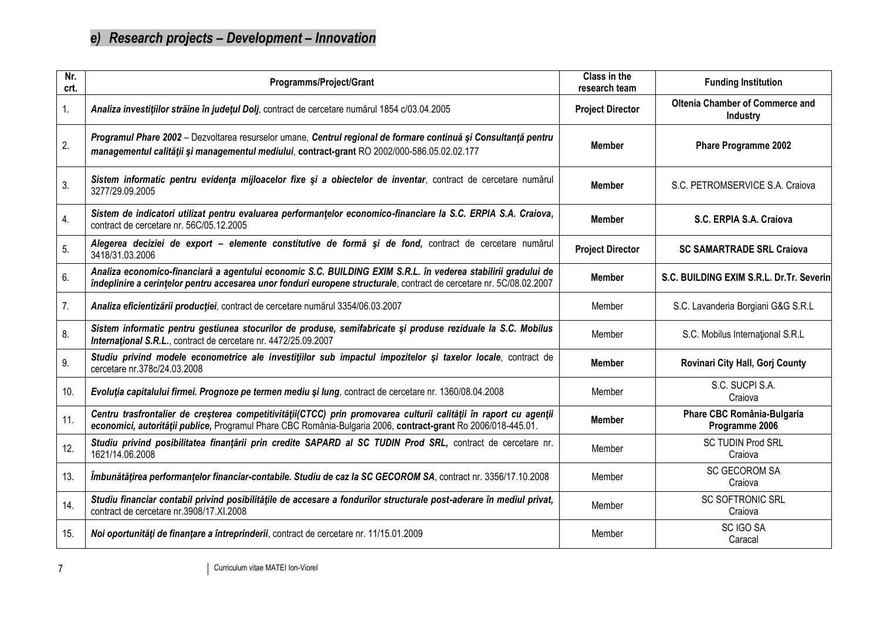# *e) Research projects – Development – Innovation*

| Nr.<br>crt. | Programms/Project/Grant                                                                                                                                                                                                               | Class in the<br>research team | <b>Funding Institution</b>                                |
|-------------|---------------------------------------------------------------------------------------------------------------------------------------------------------------------------------------------------------------------------------------|-------------------------------|-----------------------------------------------------------|
| 1.          | Analiza investițiilor străine în județul Dolj, contract de cercetare numărul 1854 c/03.04.2005                                                                                                                                        | <b>Project Director</b>       | <b>Oltenia Chamber of Commerce and</b><br><b>Industry</b> |
| 2.          | Programul Phare 2002 - Dezvoltarea resurselor umane, Centrul regional de formare continuă și Consultanță pentru<br>managementul calității și managementul mediului, contract-grant RO 2002/000-586.05.02.02.177                       | <b>Member</b>                 | <b>Phare Programme 2002</b>                               |
| 3.          | Sistem informatic pentru evidența mijloacelor fixe și a obiectelor de inventar, contract de cercetare numărul<br>3277/29.09.2005                                                                                                      | <b>Member</b>                 | S.C. PETROMSERVICE S.A. Craiova                           |
| 4.          | Sistem de indicatori utilizat pentru evaluarea performanțelor economico-financiare la S.C. ERPIA S.A. Craiova,<br>contract de cercetare nr. 56C/05.12.2005                                                                            | <b>Member</b>                 | S.C. ERPIA S.A. Craiova                                   |
| 5.          | Alegerea deciziei de export - elemente constitutive de formă și de fond, contract de cercetare numărul<br>3418/31.03.2006                                                                                                             | <b>Project Director</b>       | <b>SC SAMARTRADE SRL Craiova</b>                          |
| 6.          | Analiza economico-financiară a agentului economic S.C. BUILDING EXIM S.R.L. în vederea stabilirii gradului de<br>îndeplinire a cerințelor pentru accesarea unor fonduri europene structurale, contract de cercetare nr. 5C/08.02.2007 | <b>Member</b>                 | S.C. BUILDING EXIM S.R.L. Dr.Tr. Severin                  |
| 7.          | Analiza eficientizării producției, contract de cercetare numărul 3354/06.03.2007                                                                                                                                                      | Member                        | S.C. Lavanderia Borgiani G&G S.R.L                        |
| 8.          | Sistem informatic pentru gestiunea stocurilor de produse, semifabricate și produse reziduale la S.C. Mobilus<br>International S.R.L., contract de cercetare nr. 4472/25.09.2007                                                       | Member                        | S.C. Mobilus International S.R.L                          |
| 9.          | Studiu privind modele econometrice ale investițiilor sub impactul impozitelor și taxelor locale, contract de<br>cercetare nr.378c/24.03.2008                                                                                          | <b>Member</b>                 | Rovinari City Hall, Gorj County                           |
| 10.         | Evoluția capitalului firmei. Prognoze pe termen mediu și lung, contract de cercetare nr. 1360/08.04.2008                                                                                                                              | Member                        | S.C. SUCPI S.A.<br>Craiova                                |
| 11.         | Centru trasfrontalier de creșterea competitivității(CTCC) prin promovarea culturii calității în raport cu agenții<br>economici, autorității publice, Programul Phare CBC România-Bulgaria 2006, contract-grant Ro 2006/018-445.01.    | <b>Member</b>                 | Phare CBC România-Bulgaria<br>Programme 2006              |
| 12.         | Studiu privind posibilitatea finanțării prin credite SAPARD al SC TUDIN Prod SRL, contract de cercetare nr.<br>1621/14.06.2008                                                                                                        | Member                        | <b>SC TUDIN Prod SRL</b><br>Craiova                       |
| 13.         | Îmbunătățirea performanțelor financiar-contabile. Studiu de caz la SC GECOROM SA, contract nr. 3356/17.10.2008                                                                                                                        | Member                        | <b>SC GECOROM SA</b><br>Craiova                           |
| 14.         | Studiu financiar contabil privind posibilitățile de accesare a fondurilor structurale post-aderare în mediul privat,<br>contract de cercetare nr.3908/17.XI.2008                                                                      | Member                        | <b>SC SOFTRONIC SRL</b><br>Craiova                        |
| 15.         | Noi oportunități de finanțare a întreprinderii, contract de cercetare nr. 11/15.01.2009                                                                                                                                               | Member                        | SC IGO SA<br>Caracal                                      |